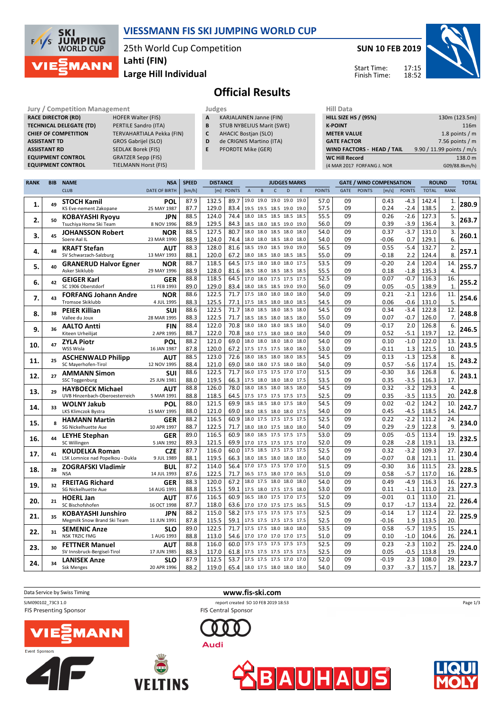

## **VIESSMANN FIS SKI JUMPING WORLD CUP**

25th World Cup Competition **Lahti (FIN)**

**Large Hill Individual**

**SUN 10 FEB 2019**

Start Time: Finish Time:



# **Official Results**

**Jury / Competition Management 1986**<br>**RACE DIRECTOR (RD)** HOFER Walter (FIS) **Hill A RACE DIRECTOR (RD) TECHNICAL DELEGATE (TD)** PERTILE Sandro (ITA) **ASSISTANT TD** GROS Gabrijel (SLO) **ASSISTANT RD** SEDLAK Borek (FIS)<br>**EQUIPMENT CONTROL** GRATZER Sepp (FIS) **EQUIPMENT CONTROL**<br>**EQUIPMENT CONTROL** 

**CHIEF OF COMPETITION** TERVAHARTIALA Pekka (FIN) **TIELMANN Horst (FIS)** 

| Judges |                                |
|--------|--------------------------------|
| A      | <b>KARJALAINEN Janne (FIN)</b> |

- **B** STUB NYBELIUS Marit (SWE)
- **C** AHACIC Bostjan (SLO)
- **D** de CRIGNIS Martino (ITA)
- **E** PFORDTE Mike (GER)

| нііі рата                         |                           |
|-----------------------------------|---------------------------|
| <b>HILL SIZE HS / (95%)</b>       | 130m (123.5m)             |
| <b>K-POINT</b>                    | 116m                      |
| <b>METER VALUE</b>                | 1.8 points $/m$           |
| <b>GATE FACTOR</b>                | 7.56 points $/m$          |
| <b>WIND FACTORS - HEAD / TAIL</b> | 9.90 / 11.99 points / m/s |
| <b>WC Hill Record</b>             | 138.0 m                   |
| (4 MAR 2017 FORFANG J. NOR        | G09/88.8km/h)             |
|                                   |                           |

| <b>RANK</b> | <b>BIB</b> | <b>NAME</b>                                              | <b>NSA</b>                | <b>SPEED</b> | <b>DISTANCE</b> |              |                               |             |                | <b>JUDGES MARKS</b>      |      |               |          | <b>GATE / WIND COMPENSATION</b> |              |                  | <b>ROUND</b>   |             | <b>TOTAL</b> |
|-------------|------------|----------------------------------------------------------|---------------------------|--------------|-----------------|--------------|-------------------------------|-------------|----------------|--------------------------|------|---------------|----------|---------------------------------|--------------|------------------|----------------|-------------|--------------|
|             |            | <b>CLUB</b>                                              | <b>DATE OF BIRTH</b>      | [km/h]       |                 | [m] POINTS   | $\mathsf A$                   | $\mathsf B$ | $\mathsf{C}$   | D                        | E    | <b>POINTS</b> | GATE     | <b>POINTS</b>                   | [m/s]        | <b>POINTS</b>    | <b>TOTAL</b>   | <b>RANK</b> |              |
|             |            | <b>STOCH Kamil</b>                                       | <b>POL</b>                | 87.9         | 132.5           | 89.7         |                               |             |                | 19.0 19.0 19.0 19.0 19.0 |      | 57.0          | 09       |                                 | 0.43         | $-4.3$           | 142.4          | 1.          |              |
| 1.          | 49         | KS Eve-nement Zakopane                                   | 25 MAY 1987               | 87.7         | 129.0           | 83.4         |                               |             |                | 19.5 19.5 18.5 19.0 19.0 |      | 57.5          | 09       |                                 | 0.24         | $-2.4$           | 138.5          | 2.          | 280.9        |
|             |            | <b>KOBAYASHI Ryoyu</b>                                   | JPN                       | 88.5         | 124.0           | 74.4         |                               |             |                | 18.0 18.5 18.5 18.5 18.5 |      | 55.5          | 09       |                                 | 0.26         | $-2.6$           | 127.3          | 5.          |              |
| 2.          | 50         | Tsuchiya Home Ski Team                                   | 8 NOV 1996                | 88.9         | 129.5           | 84.3         |                               |             |                | 18.5 18.0 18.5 19.0 19.0 |      | 56.0          | 09       |                                 | 0.39         | $-3.9$           | 136.4          | 3.          | 263.7        |
|             |            | <b>JOHANSSON Robert</b>                                  | <b>NOR</b>                | 88.5         | 127.5           | 80.7         | 18.0 18.0 18.5 18.0 18.0      |             |                |                          |      | 54.0          | 09       |                                 | 0.37         | $-3.7$           | 131.0          | 3.          |              |
| 3.          | 45         | Soere Aal IL                                             | 23 MAR 1990               | 88.9         | 124.0           | 74.4         | 18.0 18.0 18.5 18.0 18.0      |             |                |                          |      | 54.0          | 09       |                                 | $-0.06$      | 0.7              | 129.1          | 6.          | 260.1        |
|             |            | <b>KRAFT Stefan</b>                                      | <b>AUT</b>                | 88.3         | 128.0           | 81.6         |                               |             |                | 18.5 19.0 18.5 19.0 19.0 |      | 56.5          | 09       |                                 | 0.55         | $-5.4$           | 132.7          | 2.          |              |
| 4.          | 48         | SV Schwarzach-Salzburg                                   | 13 MAY 1993               | 88.1         | 120.0           | 67.2         | 18.0 18.5 18.0 18.5 18.5      |             |                |                          |      | 55.0          | 09       |                                 | $-0.18$      | 2.2              | 124.4          | 8.          | 257.1        |
|             |            | <b>GRANERUD Halvor Egner</b>                             | <b>NOR</b>                | 88.7         | 118.5           | 64.5         | 17.5 18.0 18.0 18.0 17.5      |             |                |                          |      | 53.5          | 09       |                                 | $-0.20$      | 2.4              | 120.4          | 14.         |              |
| 5.          | 40         | Asker Skiklubb                                           | 29 MAY 1996               | 88.9         | 128.0           | 81.6         | 18.5 18.0 18.5 18.5 18.5      |             |                |                          |      | 55.5          | 09       |                                 | 0.18         | $-1.8$           | 135.3          | 4.          | 255.7        |
|             |            | <b>GEIGER Karl</b>                                       | GER                       | 88.8         | 118.5           | 64.5         |                               |             |                | 17.0 18.0 17.5 17.5 17.5 |      | 52.5          | 09       |                                 | 0.07         | $-0.7$           | 116.3          | 16.         |              |
| 6.          | 42         | SC 1906 Oberstdorf                                       | 11 FEB 1993               | 89.0         | 129.0           | 83.4         | 18.0 18.5 18.5 19.0 19.0      |             |                |                          |      | 56.0          | 09       |                                 | 0.05         | $-0.5$           | 138.9          | 1.          | 255.2        |
|             |            | <b>FORFANG Johann Andre</b>                              | <b>NOR</b>                | 88.6         | 122.5           | 71.7         | 17.5 18.0 18.0 18.0 18.0      |             |                |                          |      | 54.0          | 09       |                                 | 0.21         | $-2.1$           | 123.6          | 11.         |              |
| 7.          | 43         | <b>Tromsoe Skiklubb</b>                                  | 4 JUL 1995                | 88.3         | 125.5           | 77.1         |                               |             |                | 17.5 18.5 18.0 18.0 18.5 |      | 54.5          | 09       |                                 | 0.06         | $-0.6$           | 131.0          | 5.          | 254.6        |
|             |            | <b>PEIER Killian</b>                                     | SUI                       | 88.6         | 122.5           | 71.7         | 18.0                          |             | 18.5 18.0 18.5 |                          | 18.0 | 54.5          | 09       |                                 | 0.34         | $-3.4$           | 122.8          | 12.         |              |
| 8.          | 38         | Vallee du Joux                                           | 28 MAR 1995               | 88.3         | 122.5           | 71.7         |                               |             |                | 18.5 18.5 18.0 18.5 18.0 |      | 55.0          | 09       |                                 | 0.07         | $-0.7$           | 126.0          | 7.          | 248.8        |
|             |            | <b>AALTO Antti</b>                                       | <b>FIN</b>                | 88.4         | 122.0           | 70.8         |                               |             |                | 18.0 18.0 18.0 18.5 18.0 |      | 54.0          | 09       |                                 | $-0.17$      | 2.0              | 126.8          | 6.          |              |
| 9.          | 36         | Kiteen Urheilijat                                        | 2 APR 1995                | 88.7         | 122.0           | 70.8         | 18.0 17.5 18.0 18.0 18.0      |             |                |                          |      | 54.0          | 09       |                                 | 0.52         | $-5.1$           | 119.7          | 12.         | 246.5        |
|             |            | <b>ZYLA Piotr</b>                                        | POL                       | 88.2         | 121.0           | 69.0         | 18.0                          |             | 18.0 18.0 18.0 |                          | 18.0 | 54.0          | 09       |                                 | 0.10         | $-1.0$           | 122.0          | 13.         |              |
| 10.         | 47         | WSS Wisla                                                | 16 JAN 1987               | 87.8         | 120.0           | 67.2         | 17.5 17.5 17.5 18.0 18.0      |             |                |                          |      | 53.0          | 09       |                                 | $-0.11$      | 1.3              | 121.5          | 10.         | 243.5        |
|             |            | <b>ASCHENWALD Philipp</b>                                | <b>AUT</b>                | 88.5         | 123.0           | 72.6         | 18.0 18.5 18.0 18.0           |             |                |                          | 18.5 | 54.5          | 09       |                                 | 0.13         | $-1.3$           | 125.8          | 8.          |              |
| 11.         | 25         | SC Mayerhofen-Tirol                                      | 12 NOV 1995               | 88.4         | 121.0           | 69.0         | 18.0 18.0 17.5 18.0 18.0      |             |                |                          |      | 54.0          | 09       |                                 | 0.57         | -5.6             | 117.4          | 15.         | 243.2        |
|             | 27         | <b>AMMANN Simon</b>                                      | <b>SUI</b>                | 88.6         | 122.5           | 71.7         | 16.0 17.5 17.5 17.0           |             |                |                          | 17.0 | 51.5          | 09       |                                 | $-0.30$      | 3.6              | 126.8          | 6.          |              |
| 12.         |            | <b>SSC Toggenburg</b>                                    | 25 JUN 1981               | 88.0         | 119.5           | 66.3         | 17.5 18.0 18.0 18.0 17.5      |             |                |                          |      | 53.5          | 09       |                                 | 0.35         | $-3.5$           | 116.3          | 17.         | 243.1        |
| 13.         | 29         | <b>HAYBOECK Michael</b>                                  | <b>AUT</b>                | 88.8         | 126.0           | 78.0         |                               |             |                | 18.0 18.5 18.0 18.5 18.0 |      | 54.5          | 09       |                                 | 0.32         | $-3.2$           | 129.3          | 4.          | 242.8        |
|             |            | UVB Hinzenbach-Oberoesterreich                           | 5 MAR 1991                | 88.8         | 118.5           | 64.5         | 17.5 17.5 17.5 17.5 17.5      |             |                |                          |      | 52.5          | 09       |                                 | 0.35         | $-3.5$           | 113.5          | 20.         |              |
| 14.         | 33         | <b>WOLNY Jakub</b>                                       | <b>POL</b>                | 88.0         | 121.5           | 69.9         |                               |             |                | 18.5 18.5 18.0 17.5 18.0 |      | 54.5          | 09       |                                 | 0.02         | $-0.2$           | 124.2          | 10.         | 242.7        |
|             |            | LKS Klimczok Bystra                                      | 15 MAY 1995               | 88.0         | 121.0           | 69.0         |                               |             |                | 18.0 18.5 18.0 18.0 17.5 |      | 54.0          | 09       |                                 | 0.45         | $-4.5$           | 118.5          | 14.         |              |
| 15.         |            | <b>HAMANN Martin</b>                                     | GER                       | 88.2         | 116.5           | 60.9         |                               |             |                | 18.0 17.5 17.5 17.5 17.5 |      | 52.5          | 09       |                                 | 0.22         | $-2.2$           | 111.2          | 24.         | 234.0        |
|             |            | SG Nickelhuette Aue                                      | 10 APR 1997               | 88.7         | 122.5           | 71.7         |                               |             |                | 18.0 18.0 17.5 18.0 18.0 |      | 54.0          | 09       |                                 | 0.29         | $-2.9$           | 122.8          | 9.          |              |
| 16.         | 44         | <b>LEYHE Stephan</b>                                     | <b>GER</b>                | 89.0         | 116.5           | 60.9         |                               |             |                | 18.0 18.5 17.5 17.5 17.5 |      | 53.0          | 09       |                                 | 0.05         | $-0.5$           | 113.4          | 19.         | 232.5        |
|             |            | SC Willingen                                             | 5 JAN 1992                | 89.3         | 121.5           | 69.9         | 17.0 17.5 17.5 17.5 17.0      |             |                |                          |      | 52.0          | 09       |                                 | 0.28         | $-2.8$           | 119.1          | 13.         |              |
| 17.         | 41         | <b>KOUDELKA Roman</b>                                    | <b>CZE</b>                | 87.7         | 116.0           | 60.0         |                               |             |                | 17.5 18.5 17.5 17.5 17.5 |      | 52.5          | 09       |                                 | 0.32         | $-3.2$           | 109.3          | 27.         | 230.4        |
|             |            | LSK Lomnice nad Popelkou - Dukla                         | 9 JUL 1989                | 88.1         | 119.5           | 66.3         |                               |             |                | 18.0 18.5 18.0 18.0 18.0 |      | 54.0          | 09       |                                 | $-0.07$      | 0.8              | 121.1          | 11.         |              |
| 18.         | 28         | <b>ZOGRAFSKI Vladimir</b>                                | <b>BUL</b>                | 87.2         | 114.0           | 56.4         |                               |             |                | 17.0 17.5 17.5 17.0 17.0 |      | 51.5          | 09       |                                 | $-0.30$      | 3.6              | 111.5          | 23.         | 228.5        |
|             |            | <b>NSA</b>                                               | 14 JUL 1993               | 87.6         | 122.5           | 71.7         |                               |             |                | 16.5 17.5 18.0 17.0 16.5 |      | 51.0          | 09       |                                 | 0.58         | $-5.7$           | 117.0          | 16.         |              |
| 19.         | 32         | <b>FREITAG Richard</b>                                   | GER                       | 88.3         | 120.0           | 67.2         |                               |             |                | 18.0 17.5 18.0 18.0 18.0 |      | 54.0          | 09       |                                 | 0.49         | $-4.9$           | 116.3          | 16.         | 227.3        |
|             |            | SG Nickelhuette Aue                                      | 14 AUG 1991               | 88.8         | 115.5           | 59.1         |                               |             |                | 17.5 18.0 17.5 17.5 18.0 |      | 53.0          | 09       |                                 | 0.11         | $-1.1$           | 111.0          | 23.         |              |
| 20.         | 21         | <b>HOERL Jan</b>                                         | AUT                       | 87.6         | 116.5           | 60.9         |                               |             |                | 16.5 18.0 17.5 17.0 17.5 |      | 52.0          | 09       |                                 | $-0.01$      | 0.1              | 113.0          | 21.         | 226.4        |
|             |            | SC Bischofshofen                                         | 16 OCT 1998               | 87.7<br>88.2 | 118.0           | 63.6<br>58.2 | 17.0 17.0 17.5 17.5 16.5      |             |                | 17.5 17.5 17.5 17.5 17.5 |      | 51.5<br>52.5  | 09<br>09 |                                 | 0.17         | $-1.7$           | 113.4          | 22.         |              |
| 21.         | 35         | <b>KOBAYASHI Junshiro</b><br>Megmilk Snow Brand Ski Team | <b>JPN</b>                |              | 115.0           |              |                               |             |                |                          |      |               | 09       |                                 | $-0.14$      | 1.7              | 112.4          | 22.         | 225.9        |
|             |            |                                                          | 11 JUN 1991               | 87.8         | 115.5           | 59.1         | 17.5 17.5 17.5 17.5 17.5      |             |                | 17.5 17.5 18.0 18.0 18.0 |      | 52.5          | 09       |                                 | $-0.16$      | 1.9              | 113.5          | 20.         |              |
| 22.         | 31         | <b>SEMENIC Anze</b><br><b>NSK TRZIC FMG</b>              | <b>SLO</b><br>1 AUG 1993  | 89.0<br>88.8 | 122.5<br>113.0  | 71.7<br>54.6 | 17.0 17.0 17.0 17.0 17.5      |             |                |                          |      | 53.5<br>51.0  | 09       |                                 | 0.58<br>0.10 | $-5.7$<br>$-1.0$ | 119.5<br>104.6 | 15.<br>26.  | 224.1        |
|             |            |                                                          |                           | 88.8         | 116.0           | 60.0         |                               |             |                | 17.5 17.5 17.5 17.5 17.5 |      | 52.5          | 09       |                                 | 0.23         | $-2.3$           | 110.2          | 25.         |              |
| 23.         | 30         | <b>FETTNER Manuel</b><br>SV Innsbruck-Bergisel-Tirol     | <b>AUT</b><br>17 JUN 1985 | 88.3         | 117.0           | 61.8         | 17.5 17.5 17.5 17.5 17.5      |             |                |                          |      | 52.5          | 09       |                                 | 0.05         | $-0.5$           | 113.8          | 19.         | 224.0        |
|             |            | <b>LANISEK Anze</b>                                      | <b>SLO</b>                | 87.9         | 112.5           | 53.7         | 17.5 17.5 17.5 17.0           |             |                |                          | 17.0 | 52.0          | 09       |                                 | $-0.19$      | 2.3              | 108.0          | 29.         |              |
| 24.         | 34         | Ssk Menges                                               | 20 APR 1996               | 88.2         | 119.0           |              | 65.4 18.0 17.5 18.0 18.0 18.0 |             |                |                          |      | 54.0          | 09       |                                 | 0.37         | $-3.7$           | 115.7          | 18.         | 223.7        |
|             |            |                                                          |                           |              |                 |              |                               |             |                |                          |      |               |          |                                 |              |                  |                |             |              |

Data Service by Swiss Timing **www.fis-ski.com** SJM090102\_73C3 1.0 report created SO 10 FEB 2019 18:53 FIS Presenting Sponsor

FIS Central Sponsor

**Audi** 









Page 1/3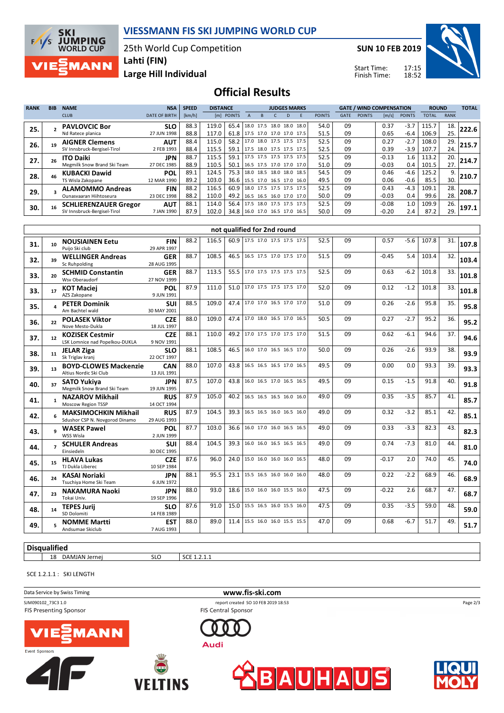

25th World Cup Competition



**Lahti (FIN)**

**SUN 10 FEB 2019**

Start Time: Finish Time:



**Large Hill Individual**

## **Official Results**

| <b>RANK</b> | <b>BIB</b> | <b>NAME</b>                  | <b>NSA</b>           | <b>SPEED</b> | <b>DISTANCE</b><br><b>JUDGES MARKS</b> |                                 |      |                          | <b>GATE / WIND COMPENSATION</b> |                          |               |             | <b>ROUND</b>  |                       | <b>TOTAL</b>  |       |             |       |
|-------------|------------|------------------------------|----------------------|--------------|----------------------------------------|---------------------------------|------|--------------------------|---------------------------------|--------------------------|---------------|-------------|---------------|-----------------------|---------------|-------|-------------|-------|
|             |            | <b>CLUB</b>                  | <b>DATE OF BIRTH</b> | [km/h]       |                                        | [m] POINTS                      | A    | в                        | D                               |                          | <b>POINTS</b> | <b>GATE</b> | <b>POINTS</b> | $\lfloor m/s \rfloor$ | <b>POINTS</b> | TOTAL | <b>RANK</b> |       |
| 25.         |            | <b>PAVLOVCIC Bor</b>         | <b>SLO</b>           | 88.3         | 119.0                                  | 65.4                            |      |                          |                                 | 18.0 17.5 18.0 18.0 18.0 | 54.0          | 09          |               | 0.37                  | $-3.7$        | 115.7 | 18.         | 222.6 |
|             |            | Nd Ratece planica            | 27 JUN 1998          | 88.8         | 117.0                                  | 61.8   17.5 17.0 17.0 17.0 17.5 |      |                          |                                 |                          | 51.5          | 09          |               | 0.65                  | $-6.4$        | 106.9 | 25.         |       |
| 26.         |            | <b>AIGNER Clemens</b>        | <b>AUT</b>           | 88.4         | 115.0                                  | 58.2                            |      | 17.0 18.0 17.5 17.5 17.5 |                                 |                          | 52.5          | 09          |               | 0.27                  | $-2.7$        | 108.0 | 29.         | 215.7 |
|             |            | SV Innsbruck-Bergisel-Tirol  | 2 FEB 1993           | 88.4         | 115.5                                  | 59.1                            |      | 17.5 18.0 17.5 17.5 17.5 |                                 |                          | 52.5          | 09          |               | 0.39                  | $-3.9$        | 107.7 | 24.         |       |
| 27.         |            | <b>ITO Daiki</b>             | <b>JPN</b>           | 88.7         | 115.5                                  | 59.1                            |      | 17.5 17.5 17.5 17.5 17.5 |                                 |                          | 52.5          | 09          |               | $-0.13$               | 1.6           | 113.2 | 20.         | 214.7 |
|             |            | Megmilk Snow Brand Ski Team  | 27 DEC 1985          | 88.9         | 110.5                                  | 50.1                            |      |                          |                                 | 16.5 17.5 17.0 17.0 17.0 | 51.0          | 09          |               | $-0.03$               | 0.4           | 101.5 | 27.         |       |
| 28.         |            | <b>KUBACKI Dawid</b>         | POL                  | 89.1         | 124.5                                  | 75.3                            |      | 18.0 18.5 18.0 18.0 18.5 |                                 |                          | 54.5          | 09          |               | 0.46                  | $-4.6$        | 125.2 | 9.          | 210.7 |
|             |            | TS Wisla Zakopane            | 12 MAR 1990          | 89.2         | 103.0                                  | 36.6 15.5 17.0 16.5 17.0 16.0   |      |                          |                                 |                          | 49.5          | 09          |               | 0.06                  | $-0.6$        | 85.5  | 30.         |       |
| 29.         |            | <b>ALAMOMMO Andreas</b>      | <b>FIN</b>           | 88.2         | 116.5                                  | 60.9                            |      | 18.0 17.5 17.5 17.5 17.5 |                                 |                          | 52.5          | 09          |               | 0.43                  | $-4.3$        | 109.1 | 28.         | 208.7 |
|             |            | Ounasyaaran Hiihtoseura      | 23 DEC 1998          | 88.2         | 110.0                                  | 49.2                            |      | 16.5 16.5 16.0 17.0 17.0 |                                 |                          | 50.0          | 09          |               | $-0.03$               | 0.4           | 99.6  | 28.         |       |
| 30.         |            | <b>SCHLIERENZAUER Gregor</b> | <b>AUT</b>           | 88.1         | 114.0                                  | 56.4                            | 17.5 | 18.0                     |                                 | 17.5 17.5 17.5           | 52.5          | 09          |               | $-0.08$               | 1.0           | 109.9 | 26.         | 197.1 |
|             |            | SV Innsbruck-Bergisel-Tirol  | 7 JAN 1990           | 87.9         | 102.0                                  | 34.8 16.0 17.0 16.5 17.0 16.5   |      |                          |                                 |                          | 50.0          | 09          |               | $-0.20$               | 2.4           | 87.2  | 29.         |       |

|     | not qualified for 2nd round |                                                               |                           |      |       |      |  |                          |      |    |         |        |       |     |       |
|-----|-----------------------------|---------------------------------------------------------------|---------------------------|------|-------|------|--|--------------------------|------|----|---------|--------|-------|-----|-------|
| 31. | 10                          | <b>NOUSIAINEN Eetu</b><br>Puijo Ski club                      | <b>FIN</b><br>29 APR 1997 | 88.2 | 116.5 | 60.9 |  | 17.5 17.0 17.5 17.5 17.5 | 52.5 | 09 | 0.57    | $-5.6$ | 107.8 | 31. | 107.8 |
| 32. | 39                          | <b>WELLINGER Andreas</b><br>Sc Ruhpolding                     | <b>GER</b><br>28 AUG 1995 | 88.7 | 108.5 | 46.5 |  | 16.5 17.5 17.0 17.5 17.0 | 51.5 | 09 | $-0.45$ | 5.4    | 103.4 | 32. | 103.4 |
| 33. | 20                          | <b>SCHMID Constantin</b><br>Wsv Oberaudorf                    | <b>GER</b><br>27 NOV 1999 | 88.7 | 113.5 | 55.5 |  | 17.0 17.5 17.5 17.5 17.5 | 52.5 | 09 | 0.63    | $-6.2$ | 101.8 | 33. | 101.8 |
| 33. | 17                          | <b>KOT Maciei</b><br>AZS Zakopane                             | POL<br>9 JUN 1991         | 87.9 | 111.0 | 51.0 |  | 17.0 17.5 17.5 17.5 17.0 | 52.0 | 09 | 0.12    | $-1.2$ | 101.8 | 33. | 101.8 |
| 35. |                             | <b>PETER Dominik</b><br>Am Bachtel wald                       | <b>SUI</b><br>30 MAY 2001 | 88.5 | 109.0 | 47.4 |  | 17.0 17.0 16.5 17.0 17.0 | 51.0 | 09 | 0.26    | $-2.6$ | 95.8  | 35. | 95.8  |
| 36. | 22                          | <b>POLASEK Viktor</b><br>Nove Mesto-Dukla                     | <b>CZE</b><br>18 JUL 1997 | 88.0 | 109.0 | 47.4 |  | 17.0 18.0 16.5 17.0 16.5 | 50.5 | 09 | 0.27    | $-2.7$ | 95.2  | 36. | 95.2  |
| 37. | 12                          | <b>KOZISEK Cestmir</b><br>LSK Lomnice nad Popelkou-DUKLA      | <b>CZE</b><br>9 NOV 1991  | 88.1 | 110.0 | 49.2 |  | 17.0 17.5 17.0 17.5 17.0 | 51.5 | 09 | 0.62    | $-6.1$ | 94.6  | 37. | 94.6  |
| 38. | 11                          | <b>JELAR Ziga</b><br>Sk Triglav kranj                         | <b>SLO</b><br>22 OCT 1997 | 88.1 | 108.5 | 46.5 |  | 16.0 17.0 16.5 16.5 17.0 | 50.0 | 09 | 0.26    | $-2.6$ | 93.9  | 38. | 93.9  |
| 39. | 13                          | <b>BOYD-CLOWES Mackenzie</b><br>Altius Nordic Ski Club        | <b>CAN</b><br>13 JUL 1991 | 88.0 | 107.0 | 43.8 |  | 16.5 16.5 16.5 17.0 16.5 | 49.5 | 09 | 0.00    | 0.0    | 93.3  | 39. | 93.3  |
| 40. | 37                          | <b>SATO Yukiva</b><br>Megmilk Snow Brand Ski Team             | <b>JPN</b><br>19 JUN 1995 | 87.5 | 107.0 | 43.8 |  | 16.0 16.5 17.0 16.5 16.5 | 49.5 | 09 | 0.15    | $-1.5$ | 91.8  | 40. | 91.8  |
| 41. | 1                           | <b>NAZAROV Mikhail</b><br>Moscow Region TSSP                  | <b>RUS</b><br>14 OCT 1994 | 87.9 | 105.0 | 40.2 |  | 16.5 16.5 16.5 16.0 16.0 | 49.0 | 09 | 0.35    | $-3.5$ | 85.7  | 41. | 85.7  |
| 42. |                             | <b>MAKSIMOCHKIN Mikhail</b><br>Sdushor CSP N. Novgorod Dinamo | <b>RUS</b><br>29 AUG 1993 | 87.9 | 104.5 | 39.3 |  | 16.5 16.5 16.0 16.5 16.0 | 49.0 | 09 | 0.32    | $-3.2$ | 85.1  | 42. | 85.1  |
| 43. |                             | <b>WASEK Pawel</b><br>WSS Wisla                               | POL<br>2 JUN 1999         | 87.7 | 103.0 | 36.6 |  | 16.0 17.0 16.0 16.5 16.5 | 49.0 | 09 | 0.33    | $-3.3$ | 82.3  | 43. | 82.3  |
| 44. |                             | <b>SCHULER Andreas</b><br>Einsiedeln                          | <b>SUI</b><br>30 DEC 1995 | 88.4 | 104.5 | 39.3 |  | 16.0 16.0 16.5 16.5 16.5 | 49.0 | 09 | 0.74    | $-7.3$ | 81.0  | 44. | 81.0  |
| 45. | 15                          | <b>HLAVA Lukas</b><br>TJ Dukla Liberec                        | <b>CZE</b><br>10 SEP 1984 | 87.6 | 96.0  | 24.0 |  | 15.0 16.0 16.0 16.0 16.5 | 48.0 | 09 | $-0.17$ | 2.0    | 74.0  | 45. | 74.0  |
| 46. | 24                          | <b>KASAI Noriaki</b><br>Tsuchiya Home Ski Team                | <b>JPN</b><br>6 JUN 1972  | 88.1 | 95.5  | 23.1 |  | 15.5 16.5 16.0 16.0 16.0 | 48.0 | 09 | 0.22    | $-2.2$ | 68.9  | 46. | 68.9  |
| 47. | 23                          | <b>NAKAMURA Naoki</b><br>Tokai Univ.                          | <b>JPN</b><br>19 SEP 1996 | 88.0 | 93.0  | 18.6 |  | 15.0 16.0 16.0 15.5 16.0 | 47.5 | 09 | $-0.22$ | 2.6    | 68.7  | 47. | 68.7  |
| 48. | 14                          | <b>TEPES Jurii</b><br>SD Dolomiti                             | <b>SLO</b><br>14 FEB 1989 | 87.6 | 91.0  | 15.0 |  | 15.5 16.5 16.0 15.5 16.0 | 47.5 | 09 | 0.35    | $-3.5$ | 59.0  | 48. | 59.0  |
| 49. |                             | <b>NOMME Martti</b><br>Andsumae Skiclub                       | <b>EST</b><br>7 AUG 1993  | 88.0 | 89.0  | 11.4 |  | 15.5 16.0 16.0 15.5 15.5 | 47.0 | 09 | 0.68    | $-6.7$ | 51.7  | 49. | 51.7  |
|     |                             |                                                               |                           |      |       |      |  |                          |      |    |         |        |       |     |       |

**Disqualified**

18 DAMJAN Jernej SLO SCE 1.2.1.1

SCE 1.2.1.1: SKI LENGTH

Data Service by Swiss Timing **www.fis-ski.com** SJM090102\_73C3 1.0 report created SO 10 FEB 2019 18:53 FIS Presenting Sponsor

FIS Central Sponsor

**Audi** 









Page 2/3